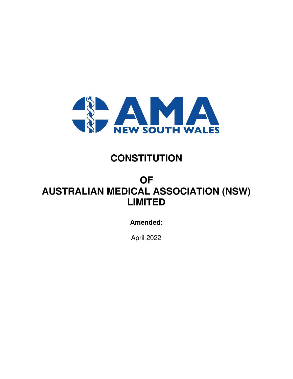

## **CONSTITUTION**

# **OF AUSTRALIAN MEDICAL ASSOCIATION (NSW) LIMITED**

## **Amended:**

April 2022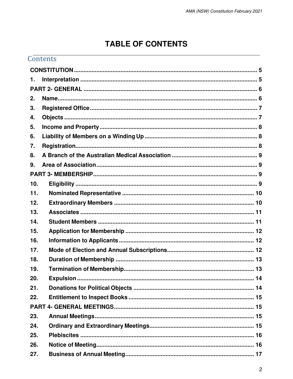## **TABLE OF CONTENTS**

|     | Contents |  |
|-----|----------|--|
|     |          |  |
| 1.  |          |  |
|     |          |  |
| 2.  |          |  |
| 3.  |          |  |
| 4.  |          |  |
| 5.  |          |  |
| 6.  |          |  |
| 7.  |          |  |
| 8.  |          |  |
| 9.  |          |  |
|     |          |  |
| 10. |          |  |
| 11. |          |  |
| 12. |          |  |
| 13. |          |  |
| 14. |          |  |
| 15. |          |  |
| 16. |          |  |
| 17. |          |  |
| 18. |          |  |
| 19. |          |  |
| 20. |          |  |
| 21. |          |  |
| 22. |          |  |
|     |          |  |
| 23. |          |  |
| 24. |          |  |
| 25. |          |  |
| 26. |          |  |
| 27. |          |  |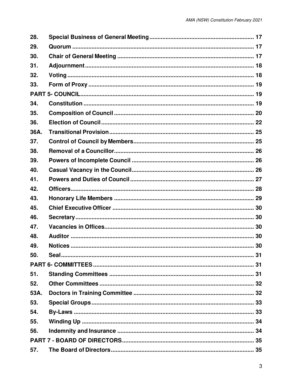| 28.  |  |  |  |  |
|------|--|--|--|--|
| 29.  |  |  |  |  |
| 30.  |  |  |  |  |
| 31.  |  |  |  |  |
| 32.  |  |  |  |  |
| 33.  |  |  |  |  |
|      |  |  |  |  |
| 34.  |  |  |  |  |
| 35.  |  |  |  |  |
| 36.  |  |  |  |  |
| 36A. |  |  |  |  |
| 37.  |  |  |  |  |
| 38.  |  |  |  |  |
| 39.  |  |  |  |  |
| 40.  |  |  |  |  |
| 41.  |  |  |  |  |
| 42.  |  |  |  |  |
| 43.  |  |  |  |  |
| 45.  |  |  |  |  |
| 46.  |  |  |  |  |
| 47.  |  |  |  |  |
| 48.  |  |  |  |  |
| 49.  |  |  |  |  |
| 50.  |  |  |  |  |
|      |  |  |  |  |
| 51.  |  |  |  |  |
| 52.  |  |  |  |  |
| 53A. |  |  |  |  |
| 53.  |  |  |  |  |
| 54.  |  |  |  |  |
| 55.  |  |  |  |  |
| 56.  |  |  |  |  |
|      |  |  |  |  |
| 57.  |  |  |  |  |
|      |  |  |  |  |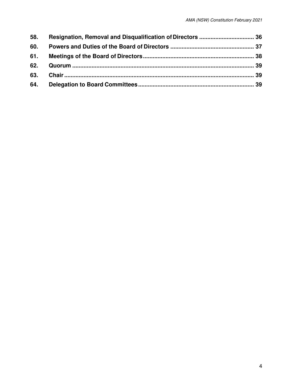| 58. |  |
|-----|--|
| 60. |  |
|     |  |
|     |  |
|     |  |
|     |  |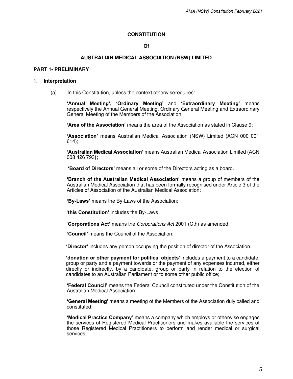#### **CONSTITUTION**

## **Of**

#### **AUSTRALIAN MEDICAL ASSOCIATION (NSW) LIMITED**

#### <span id="page-4-0"></span>**PART 1- PRELIMINARY**

#### <span id="page-4-1"></span>**1. Interpretation**

(a) In this Constitution, unless the context otherwise requires:

**'Annual Meeting', 'Ordinary Meeting'** and **'Extraordinary Meeting'** means respectively the Annual General Meeting, Ordinary General Meeting and Extraordinary General Meeting of the Members of the Association;

**'Area of the Association'** means the area of the Association as stated in Clause 9;

**'Association'** means Australian Medical Association (NSW) Limited (ACN 000 001 614);

**'Australian Medical Association'** means Australian Medical Association Limited (ACN 008 426 793**);**

**'Board of Directors'** means all or some of the Directors acting as a board.

**'Branch of the Australian Medical Association'** means a group of members of the Australian Medical Association that has been formally recognised under Article 3 of the Articles of Association of the Australian Medical Association:

**'By-Laws'** means the By-Laws of the Association;

'**this Constitution'** includes the By-Laws;

'**Corporations Act'** means the Corporations Act 2001 (Cth) as amended;

**'Council'** means the Council of the Association;

**'Director'** includes any person occupying the position of director of the Association;

**'donation or other payment for political objects'** includes a payment to a candidate, group or party and a payment towards or the payment of any expenses incurred, either directly or indirectly, by a candidate, group or party in relation to the election of candidates to an Australian Parliament or to some other public office;

**'Federal Council'** means the Federal Council constituted under the Constitution of the Australian Medical Association;

**'General Meeting'** means a meeting of the Members of the Association duly called and constituted;

**'Medical Practice Company'** means a company which employs or otherwise engages the services of Registered Medical Practitioners and makes available the services of those Registered Medical Practitioners to perform and render medical or surgical services;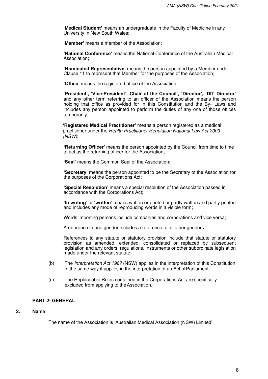'**Medical Student'** means an undergraduate in the Faculty of Medicine in any University in New South Wales;

'**Member'** means a member of the Association;

**'National Conference'** means the National Conference of the Australian Medical Association;

**'Nominated Representative'** means the person appointed by a Member under Clause 11 to represent that Member for the purposes of the Association;

**'Office'** means the registered office of the Association;

**'President', 'Vice-President', Chair of the Council', 'Director', 'DIT Director'**  and any other term referring to an officer of the Association means the person holding that office as provided for in this Constitution and the By- Laws and includes any person appointed to perform the duties of any one of those offices temporarily;

**'Registered Medical Practitioner'** means a person registered as a medical practitioner under the Health Practitioner Regulation National Law Act 2009 (NSW);

**'Returning Officer'** means the person appointed by the Council from time to time to act as the returning officer for the Association;

**'Seal'** means the Common Seal of the Association;

**'Secretary'** means the person appointed to be the Secretary of the Association for the purposes of the Corporations Act:

**'Special Resolution'** means a special resolution of the Association passed in accordance with the Corporations Act;

**'In writing'** or **'written'** means written or printed or partly written and partly printed and includes any mode of reproducing words in a visible form;

Words importing persons include companies and corporations and vice versa;

A reference to one gender includes a reference to all other genders.

References to any statute or statutory provision include that statute or statutory provision as amended, extended, consolidated or replaced by subsequent legislation and any orders, regulations, instruments or other subordinate legislation made under the relevant statute.

- (b) The Interpretation Act 1987 (NSW) applies in the interpretation of this Constitution in the same way it applies in the interpretation of an Act of Parliament.
- (c) The Replaceable Rules contained in the Corporations Act are specifically excluded from applying to the Association.

#### <span id="page-5-1"></span><span id="page-5-0"></span>**PART 2- GENERAL**

## **2. Name**

The name of the Association is 'Australian Medical Association (NSW) Limited'.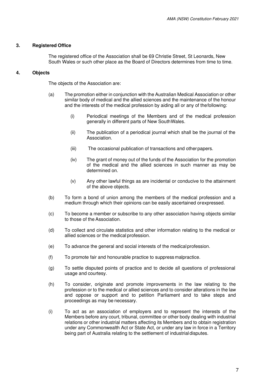## <span id="page-6-1"></span><span id="page-6-0"></span>**3. Registered Office**

The registered office of the Association shall be 69 Christie Street, St Leonards, New South Wales or such other place as the Board of Directors determines from time to time.

## **4. Objects**

The objects of the Association are:

- (a) The promotion either in conjunction with the Australian Medical Association or other similar body of medical and the allied sciences and the maintenance of the honour and the interests of the medical profession by aiding all or any of the following:
	- (i) Periodical meetings of the Members and of the medical profession generally in different parts of New South Wales.
	- (ii) The publication of a periodical journal which shall be the journal of the Association.
	- (iii) The occasional publication of transactions and other papers.
	- (iv) The grant of money out of the funds of the Association for the promotion of the medical and the allied sciences in such manner as may be determined on.
	- (v) Any other lawful things as are incidental or conducive to the attainment of the above objects.
- (b) To form a bond of union among the members of the medical profession and a medium through which their opinions can be easily ascertained or expressed.
- (c) To become a member or subscribe to any other association having objects similar to those of the Association.
- (d) To collect and circulate statistics and other information relating to the medical or allied sciences or the medical profession.
- (e) To advance the general and social interests of the medical profession.
- (f) To promote fair and honourable practice to suppress malpractice.
- (g) To settle disputed points of practice and to decide all questions of professional usage and courtesy.
- (h) To consider, originate and promote improvements in the law relating to the profession or to the medical or allied sciences and to consider alterations in the law and oppose or support and to petition Parliament and to take steps and proceedings as may be necessary.
- (i) To act as an association of employers and to represent the interests of the Members before any court, tribunal, committee or other body dealing with industrial relations or other industrial matters affecting its Members and to obtain registration under any Commonwealth Act or State Act, or under any law in force in a Territory being part of Australia relating to the settlement of industrial disputes.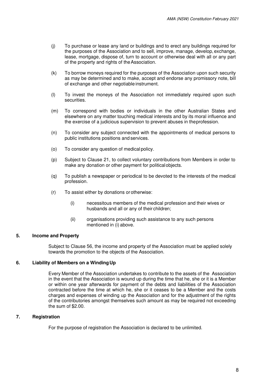- (j) To purchase or lease any land or buildings and to erect any buildings required for the purposes of the Association and to sell, improve, manage, develop, exchange, lease, mortgage, dispose of, turn to account or otherwise deal with all or any part of the property and rights of the Association.
- (k) To borrow moneys required for the purposes of the Association upon such security as may be determined and to make, accept and endorse any promissory note, bill of exchange and other negotiable instrument.
- (l) To invest the moneys of the Association not immediately required upon such securities.
- (m) To correspond with bodies or individuals in the other Australian States and elsewhere on any matter touching medical interests and by its moral influence and the exercise of a judicious supervision to prevent abuses in the profession.
- (n) To consider any subject connected with the appointments of medical persons to public institutions positions and services.
- (o) To consider any question of medical policy.
- (p) Subject to Clause 21, to collect voluntary contributions from Members in order to make any donation or other payment for political objects.
- (q) To publish a newspaper or periodical to be devoted to the interests of the medical profession.
- (r) To assist either by donations or otherwise:
	- (i) necessitous members of the medical profession and their wives or husbands and all or any of their children;
	- (ii) organisations providing such assistance to any such persons mentioned in (i) above.

## <span id="page-7-1"></span><span id="page-7-0"></span>**5. Income and Property**

Subject to Clause 56, the income and property of the Association must be applied solely towards the promotion to the objects of the Association.

## **6. Liability of Members on a Winding Up**

Every Member of the Association undertakes to contribute to the assets of the Association in the event that the Association is wound up during the time that he, she or it is a Member or within one year afterwards for payment of the debts and liabilities of the Association contracted before the time at which he, she or it ceases to be a Member and the costs charges and expenses of winding up the Association and for the adjustment of the rights of the contributories amongst themselves such amount as may be required not exceeding the sum of \$2.00.

## <span id="page-7-2"></span>**7. Registration**

For the purpose of registration the Association is declared to be unlimited.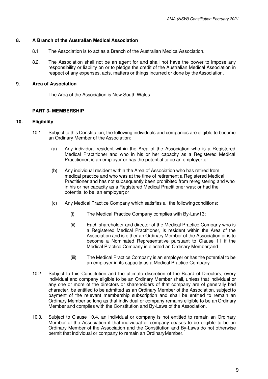## <span id="page-8-0"></span>**8. A Branch of the Australian Medical Association**

- 8.1. The Association is to act as a Branch of the Australian Medical Association.
- <span id="page-8-1"></span>8.2. The Association shall not be an agent for and shall not have the power to impose any responsibility or liability on or to pledge the credit of the Australian Medical Association in respect of any expenses, acts, matters or things incurred or done by the Association.

## <span id="page-8-3"></span><span id="page-8-2"></span>**9. Area of Association**

The Area of the Association is New South Wales.

## **PART 3- MEMBERSHIP**

## **10. Eligibility**

- 10.1. Subject to this Constitution, the following individuals and companies are eligible to become an Ordinary Member of the Association:
	- (a) Any individual resident within the Area of the Association who is a Registered Medical Practitioner and who in his or her capacity as a Registered Medical Practitioner, is an employer or has the potential to be an employer; or
	- (b) Any individual resident within the Area of Association who has retired from medical practice and who was at the time of retirement a Registered Medical Practitioner and has not subsequently been prohibited from reregistering and who in his or her capacity as a Registered Medical Practitioner was; or had the potential to be, an employer; or
	- (c) Any Medical Practice Company which satisfies all the following conditions:
		- (i) The Medical Practice Company complies with By-Law 13;
		- (ii) Each shareholder and director of the Medical Practice Company who is a Registered Medical Practitioner, is resident within the Area of the Association and is either an Ordinary Member of the Association or is to become a Nominated Representative pursuant to Clause 11 if the Medical Practice Company is elected an Ordinary Member; and
		- (iii) The Medical Practice Company is an employer or has the potential to be an employer in its capacity as a Medical Practice Company.
- 10.2. Subject to this Constitution and the ultimate discretion of the Board of Directors, every individual and company eligible to be an Ordinary Member shall, unless that individual or any one or more of the directors or shareholders of that company are of generally bad character, be entitled to be admitted as an Ordinary Member of the Association, subject to payment of the relevant membership subscription and shall be entitled to remain an Ordinary Member so long as that individual or company remains eligible to be an Ordinary Member and complies with the Constitution and By-Laws of the Association.
- 10.3. Subject to Clause 10.4, an individual or company is not entitled to remain an Ordinary Member of the Association if that individual or company ceases to be eligible to be an Ordinary Member of the Association and the Constitution and By-Laws do not otherwise permit that individual or company to remain an Ordinary Member.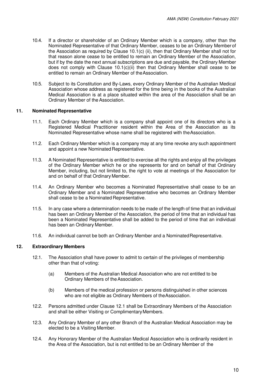- 10.4. If a director or shareholder of an Ordinary Member which is a company, other than the Nominated Representative of that Ordinary Member, ceases to be an Ordinary Member of the Association as required by Clause 10.1(c) (ii), then that Ordinary Member shall not for that reason alone cease to be entitled to remain an Ordinary Member of the Association, but if by the date the next annual subscriptions are due and payable, the Ordinary Member does not comply with Clause 10.1(c)(ii) then that Ordinary Member shall cease to be entitled to remain an Ordinary Member of the Association.
- <span id="page-9-0"></span>10.5. Subject to its Constitution and By-Laws, every Ordinary Member of the Australian Medical Association whose address as registered for the time being in the books of the Australian Medical Association is at a place situated within the area of the Association shall be an Ordinary Member of the Association.

## **11. Nominated Representative**

- 11.1. Each Ordinary Member which is a company shall appoint one of its directors who is a Registered Medical Practitioner resident within the Area of the Association as its Nominated Representative whose name shall be registered with the Association.
- 11.2. Each Ordinary Member which is a company may at any time revoke any such appointment and appoint a new Nominated Representative.
- 11.3. A Nominated Representative is entitled to exercise all the rights and enjoy all the privileges of the Ordinary Member which he or she represents for and on behalf of that Ordinary Member, including, but not limited to, the right to vote at meetings of the Association for and on behalf of that Ordinary Member.
- 11.4. An Ordinary Member who becomes a Nominated Representative shall cease to be an Ordinary Member and a Nominated Representative who becomes an Ordinary Member shall cease to be a Nominated Representative.
- 11.5. In any case where a determination needs to be made of the length of time that an individual has been an Ordinary Member of the Association, the period of time that an individual has been a Nominated Representative shall be added to the period of time that an individual has been an Ordinary Member.
- <span id="page-9-1"></span>11.6. An individual cannot be both an Ordinary Member and a Nominated Representative.

## **12. Extraordinary Members**

- 12.1. The Association shall have power to admit to certain of the privileges of membership other than that of voting:
	- (a) Members of the Australian Medical Association who are not entitled to be Ordinary Members of the Association.
	- (b) Members of the medical profession or persons distinguished in other sciences who are not eligible as Ordinary Members of the Association.
- 12.2. Persons admitted under Clause 12.1 shall be Extraordinary Members of the Association and shall be either Visiting or Complimentary Members.
- 12.3. Any Ordinary Member of any other Branch of the Australian Medical Association may be elected to be a Visiting Member.
- 12.4. Any Honorary Member of the Australian Medical Association who is ordinarily resident in the Area of the Association, but is not entitled to be an Ordinary Member of the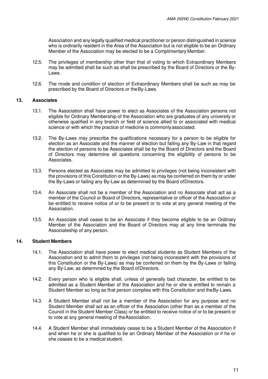Association and any legally qualified medical practitioner or person distinguished in science who is ordinarily resident in the Area of the Association but is not eligible to be an Ordinary Member of the Association may be elected to be a Complimentary Member.

- 12.5. The privileges of membership other than that of voting to which Extraordinary Members may be admitted shall be such as shall be prescribed by the Board of Directors or the By-Laws.
- <span id="page-10-0"></span>12.6. The mode and condition of election of Extraordinary Members shall be such as may be prescribed by the Board of Directors or the By-Laws.

## **13. Associates**

- 13.1. The Association shall have power to elect as Associates of the Association persons not eligible for Ordinary Membership of the Association who are graduates of any university or otherwise qualified in any branch or field of science allied to or associated with medical science or with which the practice of medicine is commonly associated.
- 13.2. The By-Laws may prescribe the qualifications necessary for a person to be eligible for election as an Associate and the manner of election but failing any By-Law in that regard the election of persons to be Associates shall be by the Board of Directors and the Board of Directors may determine all questions concerning the eligibility of persons to be Associates.
- 13.3. Persons elected as Associates may be admitted to privileges (not being inconsistent with the provisions of this Constitution or the By-Laws) as may be conferred on them by or under the By-Laws or failing any By-Law as determined by the Board of Directors.
- 13.4. An Associate shall not be a member of the Association and no Associate shall act as a member of the Council or Board of Directors, representative or officer of the Association or be entitled to receive notice of or to be present or to vote at any general meeting of the Association.
- <span id="page-10-1"></span>13.5. An Associate shall cease to be an Associate if they become eligible to be an Ordinary Member of the Association and the Board of Directors may at any time terminate the Associateship of any person.

## **14. Student Members**

- 14.1. The Association shall have power to elect medical students as Student Members of the Association and to admit them to privileges (not being inconsistent with the provisions of this Constitution or the By-Laws) as may be conferred on them by the By-Laws or failing any By-Law, as determined by the Board of Directors.
- 14.2. Every person who is eligible shall, unless of generally bad character, be entitled to be admitted as a Student Member of the Association and he or she is entitled to remain a Student Member so long as that person complies with this Constitution and the By-Laws.
- 14.3. A Student Member shall not be a member of the Association for any purpose and no Student Member shall act as an officer of the Association (other than as a member of the Council in the Student Member Class) or be entitled to receive notice of or to be present or to vote at any general meeting of the Association.
- 14.4. A Student Member shall immediately cease to be a Student Member of the Association if and when he or she is qualified to be an Ordinary Member of the Association or if he or she ceases to be a medical student.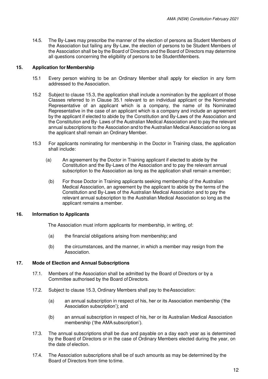<span id="page-11-0"></span>14.5. The By-Laws may prescribe the manner of the election of persons as Student Members of the Association but failing any By-Law, the election of persons to be Student Members of the Association shall be by the Board of Directors and the Board of Directors may determine all questions concerning the eligibility of persons to be Student Members.

## **15. Application for Membership**

- 15.1 Every person wishing to be an Ordinary Member shall apply for election in any form addressed to the Association.
- 15.2 Subject to clause 15.3, the application shall include a nomination by the applicant of those Classes referred to in Clause 35.1 relevant to an individual applicant or the Nominated Representative of an applicant which is a company, the name of its Nominated Representative in the case of an applicant which is a company and include an agreement by the applicant if elected to abide by the Constitution and By-Laws of the Association and the Constitution and By- Laws of the Australian Medical Association and to pay the relevant annual subscriptions to the Association and to the Australian Medical Association so long as the applicant shall remain an Ordinary Member.
- 15.3 For applicants nominating for membership in the Doctor in Training class, the application shall include:
	- (a) An agreement by the Doctor in Training applicant if elected to abide by the Constitution and the By-Laws of the Association and to pay the relevant annual subscription to the Association as long as the application shall remain a member;
		- (b) For those Doctor in Training applicants seeking membership of the Australian Medical Association, an agreement by the applicant to abide by the terms of the Constitution and By-Laws of the Australian Medical Association and to pay the relevant annual subscription to the Australian Medical Association so long as the applicant remains a member.

## <span id="page-11-1"></span>**16. Information to Applicants**

The Association must inform applicants for membership, in writing, of:

- (a) the financial obligations arising from membership; and
- (b) the circumstances, and the manner, in which a member may resign from the Association.

## <span id="page-11-2"></span>**17. Mode of Election and Annual Subscriptions**

- 17.1. Members of the Association shall be admitted by the Board of Directors or by a Committee authorised by the Board of Directors.
- 17.2. Subject to clause 15.3, Ordinary Members shall pay to the Association:
	- (a) an annual subscription in respect of his, her or its Association membership ('the Association subscription'); and
	- (b) an annual subscription in respect of his, her or its Australian Medical Association membership ('the AMA subscription').
- 17.3. The annual subscriptions shall be due and payable on a day each year as is determined by the Board of Directors or in the case of Ordinary Members elected during the year, on the date of election.
- 17.4. The Association subscriptions shall be of such amounts as may be determined by the Board of Directors from time to time.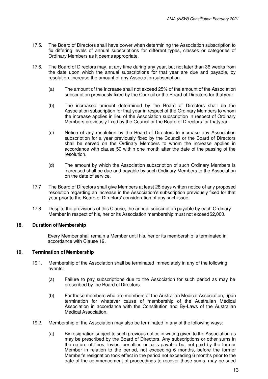- 17.5. The Board of Directors shall have power when determining the Association subscription to fix differing levels of annual subscriptions for different types, classes or categories of Ordinary Members as it deems appropriate.
- 17.6. The Board of Directors may, at any time during any year, but not later than 36 weeks from the date upon which the annual subscriptions for that year are due and payable, by resolution, increase the amount of any Association subscription.
	- (a) The amount of the increase shall not exceed 25% of the amount of the Association subscription previously fixed by the Council or the Board of Directors for that year.
	- (b) The increased amount determined by the Board of Directors shall be the Association subscription for that year in respect of the Ordinary Members to whom the increase applies in lieu of the Association subscription in respect of Ordinary Members previously fixed by the Council or the Board of Directors for that year.
	- (c) Notice of any resolution by the Board of Directors to increase any Association subscription for a year previously fixed by the Council or the Board of Directors shall be served on the Ordinary Members to whom the increase applies in accordance with clause 50 within one month after the date of the passing of the resolution.
	- (d) The amount by which the Association subscription of such Ordinary Members is increased shall be due and payable by such Ordinary Members to the Association on the date of service.
- 17.7 The Board of Directors shall give Members at least 28 days written notice of any proposed resolution regarding an increase in the Association's subscription previously fixed for that year prior to the Board of Directors' consideration of any such issue.
- <span id="page-12-0"></span>17.8 Despite the provisions of this Clause, the annual subscription payable by each Ordinary Member in respect of his, her or its Association membership must not exceed \$2,000.

## <span id="page-12-1"></span>**18. Duration of Membership**

Every Member shall remain a Member until his, her or its membership is terminated in accordance with Clause 19.

## **19. Termination of Membership**

- 19.1. Membership of the Association shall be terminated immediately in any of the following events:
	- (a) Failure to pay subscriptions due to the Association for such period as may be prescribed by the Board of Directors.
	- (b) For those members who are members of the Australian Medical Association, upon termination for whatever cause of membership of the Australian Medical Association in accordance with the Constitution and By-Laws of the Australian Medical Association.
- 19.2. Membership of the Association may also be terminated in any of the following ways:
	- (a) By resignation subject to such previous notice in writing given to the Association as may be prescribed by the Board of Directors. Any subscriptions or other sums in the nature of fines, levies, penalties or calls payable but not paid by the former Member in relation to the period, not exceeding 6 months, before the former Member's resignation took effect in the period not exceeding 6 months prior to the date of the commencement of proceedings to recover those sums, may be sued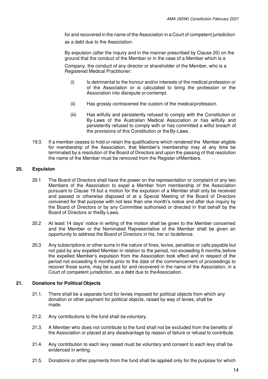for and recovered in the name of the Association in a Court of competent jurisdiction

as a debt due to the Association.

By expulsion (after the inquiry and in the manner prescribed by Clause 20) on the ground that the conduct of the Member or in the case of a Member which is a

Company, the conduct of any director or shareholder of the Member, who is a Registered Medical Practitioner:

- (i) Is detrimental to the honour and/or interests of the medical profession or of the Association or is calculated to bring the profession or the Association into disrepute or contempt.
- (ii) Has grossly contravened the custom of the medical profession.
- (iii) Has wilfully and persistently refused to comply with the Constitution or By-Laws of the Australian Medical Association or has wilfully and persistently refused to comply with or has committed a wilful breach of the provisions of this Constitution or the By-Laws.
- <span id="page-13-0"></span>19.3. If a member ceases to hold or retain the qualifications which rendered the Member eligible for membership of the Association, that Member's membership may at any time be terminated by a resolution of the Board of Directors and upon the passing of that resolution the name of the Member must be removed from the Register of Members.

## **20. Expulsion**

- 20.1 The Board of Directors shall have the power on the representation or complaint of any two Members of the Association to expel a Member from membership of the Association pursuant to Clause 19 but a motion for the expulsion of a Member shall only be received and passed or otherwise disposed of at a Special Meeting of the Board of Directors convened for that purpose with not less than one month's notice and after due inquiry by the Board of Directors or by any Committee authorised or directed in that behalf by the Board of Directors or the By-Laws.
- 20.2 At least 14 days' notice in writing of the motion shall be given to the Member concerned and the Member or the Nominated Representative of the Member shall be given an opportunity to address the Board of Directors in his, her or its defence.
- 20.3 Any subscriptions or other sums in the nature of fines, levies, penalties or calls payable but not paid by any expelled Member in relation to the period, not exceeding 6 months, before the expelled Member's expulsion from the Association took effect and in respect of the period not exceeding 6 months prior to the date of the commencement of proceedings to recover those sums, may be sued for and recovered in the name of the Association, in a Court of competent jurisdiction, as a debt due to the Association.

## <span id="page-13-1"></span>**21. Donations for Political Objects**

- 21.1. There shall be a separate fund for levies imposed for political objects from which any donation or other payment for political objects, raised by way of levies, shall be made.
- 21.2. Any contributions to the fund shall be voluntary.
- 21.3. A Member who does not contribute to the fund shall not be excluded from the benefits of the Association or placed at any disadvantage by reason of failure or refusal to contribute.
- 21.4. Any contribution to each levy raised must be voluntary and consent to each levy shall be evidenced in writing.
- 21.5. Donations or other payments from the fund shall be applied only for the purpose for which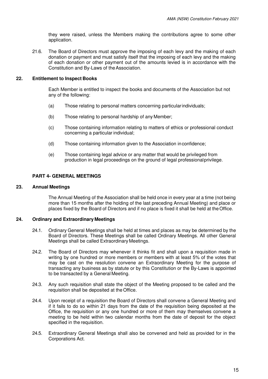they were raised, unless the Members making the contributions agree to some other application.

<span id="page-14-0"></span>21.6. The Board of Directors must approve the imposing of each levy and the making of each donation or payment and must satisfy itself that the imposing of each levy and the making of each donation or other payment out of the amounts levied is in accordance with the Constitution and By-Laws of the Association.

## **22. Entitlement to Inspect Books**

Each Member is entitled to inspect the books and documents of the Association but not any of the following:

- (a) Those relating to personal matters concerning particular individuals;
- (b) Those relating to personal hardship of any Member;
- (c) Those containing information relating to matters of ethics or professional conduct concerning a particular individual;
- (d) Those containing information given to the Association in confidence;
- (e) Those containing legal advice or any matter that would be privileged from production in legal proceedings on the ground of legal professional privilege.

## <span id="page-14-2"></span><span id="page-14-1"></span>**PART 4- GENERAL MEETINGS**

#### <span id="page-14-3"></span>**23. Annual Meetings**

The Annual Meeting of the Association shall be held once in every year at a time (not being more than 15 months after the holding of the last preceding Annual Meeting) and place or places fixed by the Board of Directors and if no place is fixed it shall be held at the Office.

## **24. Ordinary and Extraordinary Meetings**

- 24.1. Ordinary General Meetings shall be held at times and places as may be determined by the Board of Directors. These Meetings shall be called Ordinary Meetings. All other General Meetings shall be called Extraordinary Meetings.
- 24.2. The Board of Directors may whenever it thinks fit and shall upon a requisition made in writing by one hundred or more members or members with at least 5% of the votes that may be cast on the resolution convene an Extraordinary Meeting for the purpose of transacting any business as by statute or by this Constitution or the By-Laws is appointed to be transacted by a General Meeting.
- 24.3. Any such requisition shall state the object of the Meeting proposed to be called and the requisition shall be deposited at the Office.
- 24.4. Upon receipt of a requisition the Board of Directors shall convene a General Meeting and if it fails to do so within 21 days from the date of the requisition being deposited at the Office, the requisition or any one hundred or more of them may themselves convene a meeting to be held within two calendar months from the date of deposit for the object specified in the requisition.
- 24.5. Extraordinary General Meetings shall also be convened and held as provided for in the Corporations Act.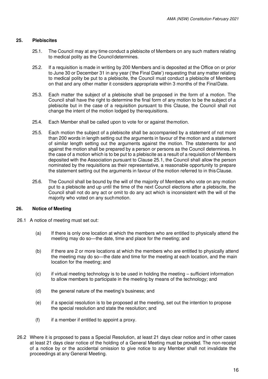## <span id="page-15-0"></span>**25. Plebiscites**

- 25.1. The Council may at any time conduct a plebiscite of Members on any such matters relating to medical polity as the Council determines.
- 25.2. If a requisition is made in writing by 200 Members and is deposited at the Office on or prior to June 30 or December 31 in any year ('the Final Date') requesting that any matter relating to medical polity be put to a plebiscite, the Council must conduct a plebiscite of Members on that and any other matter it considers appropriate within 3 months of the Final Date.
- 25.3. Each matter the subject of a plebiscite shall be proposed in the form of a motion. The Council shall have the right to determine the final form of any motion to be the subject of a plebiscite but in the case of a requisition pursuant to this Clause, the Council shall not change the intent of the motion lodged by the requisitions.
- 25.4. Each Member shall be called upon to vote for or against the motion.
- 25.5. Each motion the subject of a plebiscite shall be accompanied by a statement of not more than 200 words in length setting out the arguments in favour of the motion and a statement of similar length setting out the arguments against the motion. The statements for and against the motion shall be prepared by a person or persons as the Council determines. In the case of a motion which is to be put to a plebiscite as a result of a requisition of Members deposited with the Association pursuant to Clause 25.1, the Council shall allow the person nominated by the requisitions as their representative, a reasonable opportunity to prepare the statement setting out the arguments in favour of the motion referred to in this Clause.
- <span id="page-15-1"></span>25.6. The Council shall be bound by the will of the majority of Members who vote on any motion put to a plebiscite and up until the time of the next Council elections after a plebiscite, the Council shall not do any act or omit to do any act which is inconsistent with the will of the majority who voted on any such motion.

## **26. Notice of Meeting**

- 26.1 A notice of meeting must set out:
	- (a) If there is only one location at which the members who are entitled to physically attend the meeting may do so—the date, time and place for the meeting; and
	- (b) if there are 2 or more locations at which the members who are entitled to physically attend the meeting may do so—the date and time for the meeting at each location, and the main location for the meeting; and
	- $(c)$  if virtual meeting technology is to be used in holding the meeting sufficient information to allow members to participate in the meeting by means of the technology; and
	- (d) the general nature of the meeting's business; and
	- (e) if a special resolution is to be proposed at the meeting, set out the intention to propose the special resolution and state the resolution; and
	- $(f)$  if a member if entitled to appoint a proxy.
- 26.2 Where it is proposed to pass a Special Resolution, at least 21 days clear notice and in other cases at least 21 days clear notice of the holding of a General Meeting must be provided. The non-receipt of a notice by or the accidental omission to give notice to any Member shall not invalidate the proceedings at any General Meeting.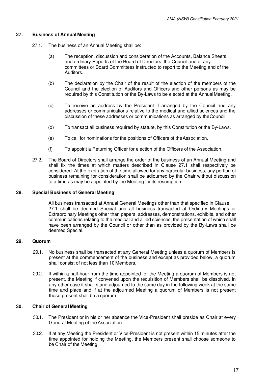## <span id="page-16-0"></span>**27. Business of Annual Meeting**

- 27.1. The business of an Annual Meeting shall be:
	- (a) The reception, discussion and consideration of the Accounts, Balance Sheets and ordinary Reports of the Board of Directors, the Council and of any committees or Board Committees instructed to report to the Meeting and of the Auditors.
	- (b) The declaration by the Chair of the result of the election of the members of the Council and the election of Auditors and Officers and other persons as may be required by this Constitution or the By-Laws to be elected at the Annual Meeting.
	- (c) To receive an address by the President if arranged by the Council and any addresses or communications relative to the medical and allied sciences and the discussion of these addresses or communications as arranged by the Council.
	- (d) To transact all business required by statute, by this Constitution or the By-Laws.
	- (e) To call for nominations for the positions of Officers of the Association.
	- (f) To appoint a Returning Officer for election of the Officers of the Association.
- <span id="page-16-1"></span>27.2. The Board of Directors shall arrange the order of the business of an Annual Meeting and shall fix the times at which matters described in Clause 27.1 shall respectively be considered. At the expiration of the time allowed for any particular business, any portion of business remaining for consideration shall be adjourned by the Chair without discussion to a time as may be appointed by the Meeting for its resumption.

## **28. Special Business of General Meeting**

All business transacted at Annual General Meetings other than that specified in Clause 27.1 shall be deemed Special and all business transacted at Ordinary Meetings or Extraordinary Meetings other than papers, addresses, demonstrations, exhibits, and other communications relating to the medical and allied sciences, the presentation of which shall have been arranged by the Council or other than as provided by the By-Laws shall be deemed Special.

## <span id="page-16-2"></span>**29. Quorum**

- 29.1. No business shall be transacted at any General Meeting unless a quorum of Members is present at the commencement of the business and except as provided below, a quorum shall consist of not less than 10 Members.
- <span id="page-16-3"></span>29.2. If within a half-hour from the time appointed for the Meeting a quorum of Members is not present, the Meeting if convened upon the requisition of Members shall be dissolved. In any other case it shall stand adjourned to the same day in the following week at the same time and place and if at the adjourned Meeting a quorum of Members is not present those present shall be a quorum.

## **30. Chair of General Meeting**

- 30.1. The President or in his or her absence the Vice-President shall preside as Chair at every General Meeting of the Association.
- 30.2. If at any Meeting the President or Vice-President is not present within 15 minutes after the time appointed for holding the Meeting, the Members present shall choose someone to be Chair of the Meeting.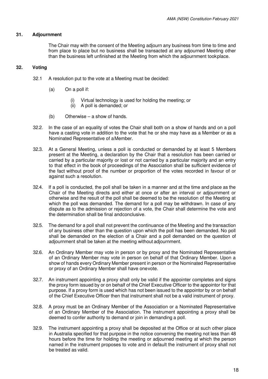## <span id="page-17-1"></span><span id="page-17-0"></span>**31. Adjournment**

The Chair may with the consent of the Meeting adjourn any business from time to time and from place to place but no business shall be transacted at any adjourned Meeting other than the business left unfinished at the Meeting from which the adjournment took place.

## **32. Voting**

- 32.1 A resolution put to the vote at a Meeting must be decided:
	- (a) On a poll if:
		- (i) Virtual technology is used for holding the meeting; or
		- (ii) A poll is demanded; or
	- (b) Otherwise a show of hands.
- 32.2. In the case of an equality of votes the Chair shall both on a show of hands and on a poll have a casting vote in addition to the vote that he or she may have as a Member or as a Nominated Representative of a Member.
- 32.3. At a General Meeting, unless a poll is conducted or demanded by at least 5 Members present at the Meeting, a declaration by the Chair that a resolution has been carried or carried by a particular majority or lost or not carried by a particular majority and an entry to that effect in the book of proceedings of the Association shall be sufficient evidence of the fact without proof of the number or proportion of the votes recorded in favour of or against such a resolution.
- 32.4. If a poll is conducted, the poll shall be taken in a manner and at the time and place as the Chair of the Meeting directs and either at once or after an interval or adjournment or otherwise and the result of the poll shall be deemed to be the resolution of the Meeting at which the poll was demanded. The demand for a poll may be withdrawn. In case of any dispute as to the admission or rejection of a vote, the Chair shall determine the vote and the determination shall be final and conclusive.
- 32.5. The demand for a poll shall not prevent the continuance of the Meeting and the transaction of any business other than the question upon which the poll has been demanded. No poll shall be demanded on the election of a Chair and a poll demanded on the question of adjournment shall be taken at the meeting without adjournment.
- 32.6. An Ordinary Member may vote in person or by proxy and the Nominated Representative of an Ordinary Member may vote in person on behalf of that Ordinary Member. Upon a show of hands every Ordinary Member present in person or the Nominated Representative or proxy of an Ordinary Member shall have one vote.
- 32.7. An instrument appointing a proxy shall only be valid if the appointer completes and signs the proxy form issued by or on behalf of the Chief Executive Officer to the appointor for that purpose. If a proxy form is used which has not been issued to the appointor by or on behalf of the Chief Executive Officer then that instrument shall not be a valid instrument of proxy.
- 32.8. A proxy must be an Ordinary Member of the Association or a Nominated Representative of an Ordinary Member of the Association. The instrument appointing a proxy shall be deemed to confer authority to demand or join in demanding a poll.
- 32.9. The instrument appointing a proxy shall be deposited at the Office or at such other place in Australia specified for that purpose in the notice convening the meeting not less than 48 hours before the time for holding the meeting or adjourned meeting at which the person named in the instrument proposes to vote and in default the instrument of proxy shall not be treated as valid.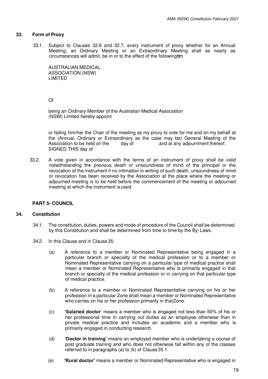## <span id="page-18-0"></span>**33. Form of Proxy**

33.1. Subject to Clauses 32.6 and 32.7, every instrument of proxy whether for an Annual Meeting, an Ordinary Meeting or an Extraordinary Meeting shall as nearly as circumstances will admit, be in or to the effect of the following form:

AUSTRALIAN MEDICAL ASSOCIATION (NSW) LIMITED

## Of

being an Ordinary Member of the Australian Medical Association (NSW) Limited hereby appoint

or failing him/her the Chair of the meeting as my proxy to vote for me and on my behalf at the (Annual, Ordinary or Extraordinary as the case may be) General Meeting of the Association to be held on the day of and at any adjournment thereof. SIGNED THIS day of

<span id="page-18-1"></span>33.2. A vote given in accordance with the terms of an instrument of proxy shall be valid notwithstanding the previous death or unsoundness of mind of the principal or the revocation of the instrument if no intimation in writing of such death, unsoundness of mind or revocation has been received by the Association at the place where the meeting or adjourned meeting is to be held before the commencement of the meeting or adjourned meeting at which the instrument is used.

## <span id="page-18-2"></span>**PART 5- COUNCIL**

## **34. Constitution**

- 34.1. The constitution, duties, powers and mode of procedure of the Council shall be determined by this Constitution and shall be determined from time to time by the By- Laws.
- 34.2. In this Clause and in Clause 35:
	- (a) A reference to a member or Nominated Representative being engaged in a particular branch or specialty of the medical profession or to a member or Nominated Representative carrying on a particular type of medical practice shall mean a member or Nominated Representative who is primarily engaged in that branch or specialty of the medical profession or in carrying on that particular type of medical practice.
	- (b) A reference to a member or Nominated Representative carrying on his or her profession in a particular Zone shall mean a member or Nominated Representative who carries on his or her profession primarily in that Zone.
	- (c) **'Salaried doctor**' means a member who is engaged not less than 50% of his or her professional time in carrying out duties as an employee otherwise than in private medical practice and includes an academic and a member who is primarily engaged in conducting research.
	- (d) **'Doctor in training'** means an employed member who is undertaking a course of post graduate training and who does not otherwise fall within any of the classes referred to in paragraphs (a) to (k) of Clause 35.1.
	- (e) **'Rural doctor'** means a member or Nominated Representative who is engaged in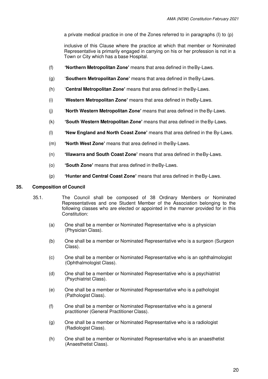a private medical practice in one of the Zones referred to in paragraphs (I) to (p)

inclusive of this Clause where the practice at which that member or Nominated Representative is primarily engaged in carrying on his or her profession is not in a Town or City which has a base Hospital.

- (f) **'Northern Metropolitan Zone'** means that area defined in the By-Laws.
- (g) '**Southern Metropolitan Zone'** means that area defined in the By-Laws.
- (h) '**Central Metropolitan Zone'** means that area defined in the By-Laws.
- (i) '**Western Metropolitan Zone'** means that area defined in the By-Laws.
- (j) '**North Western Metropolitan Zone'** means that area defined in the By-Laws.
- (k) **'South Western Metropolitan Zone'** means that area defined in the By-Laws.
- (l) **'New England and North Coast Zone'** means that area defined in the By-Laws.
- (m) **'North West Zone'** means that area defined in the By-Laws.
- (n) **'Illawarra and South Coast Zone'** means that area defined in the By-Laws.
- (o) **'South Zone'** means that area defined in the By-Laws.
- (p) **'Hunter and Central Coast Zone'** means that area defined in the By-Laws.

## <span id="page-19-0"></span>**35. Composition of Council**

- 35.1. The Council shall be composed of 38 Ordinary Members or Nominated Representatives and one Student Member of the Association belonging to the following classes who are elected or appointed in the manner provided for in this Constitution:
	- (a) One shall be a member or Nominated Representative who is a physician (Physician Class).
	- (b) One shall be a member or Nominated Representative who is a surgeon (Surgeon Class).
	- (c) One shall be a member or Nominated Representative who is an ophthalmologist (Ophthalmologist Class).
	- (d) One shall be a member or Nominated Representative who is a psychiatrist (Psychiatrist Class).
	- (e) One shall be a member or Nominated Representative who is a pathologist (Pathologist Class).
	- (f) One shall be a member or Nominated Representative who is a general practitioner (General Practitioner Class).
	- (g) One shall be a member or Nominated Representative who is a radiologist (Radiologist Class).
	- (h) One shall be a member or Nominated Representative who is an anaesthetist (Anaesthetist Class).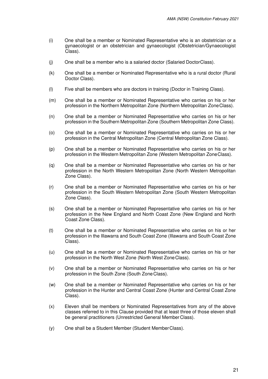- (i) One shall be a member or Nominated Representative who is an obstetrician or a gynaecologist or an obstetrician and gynaecologist (Obstetrician/Gynaecologist Class).
- (j) One shall be a member who is a salaried doctor (Salaried Doctor Class).
- (k) One shall be a member or Nominated Representative who is a rural doctor (Rural Doctor Class).
- (l) Five shall be members who are doctors in training (Doctor in Training Class).
- (m) One shall be a member or Nominated Representative who carries on his or her profession in the Northern Metropolitan Zone (Northern Metropolitan Zone Class).
- (n) One shall be a member or Nominated Representative who carries on his or her profession in the Southern Metropolitan Zone (Southern Metropolitan Zone Class).
- (o) One shall be a member or Nominated Representative who carries on his or her profession in the Central Metropolitan Zone (Central Metropolitan Zone Class).
- (p) One shall be a member or Nominated Representative who carries on his or her profession in the Western Metropolitan Zone (Western Metropolitan Zone Class).
- (q) One shall be a member or Nominated Representative who carries on his or her profession in the North Western Metropolitan Zone (North Western Metropolitan Zone Class).
- (r) One shall be a member or Nominated Representative who carries on his or her profession in the South Western Metropolitan Zone (South Western Metropolitan Zone Class).
- (s) One shall be a member or Nominated Representative who carries on his or her profession in the New England and North Coast Zone (New England and North Coast Zone Class).
- (t) One shall be a member or Nominated Representative who carries on his or her profession in the Illawarra and South Coast Zone (Illawarra and South Coast Zone Class).
- (u) One shall be a member or Nominated Representative who carries on his or her profession in the North West Zone (North West Zone Class).
- (v) One shall be a member or Nominated Representative who carries on his or her profession in the South Zone (South Zone Class).
- (w) One shall be a member or Nominated Representative who carries on his or her profession in the Hunter and Central Coast Zone (Hunter and Central Coast Zone Class).
- (x) Eleven shall be members or Nominated Representatives from any of the above classes referred to in this Clause provided that at least three of those eleven shall be general practitioners (Unrestricted General Member Class).
- (y) One shall be a Student Member (Student Member Class).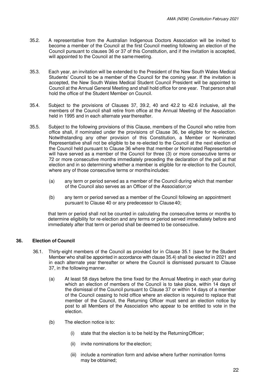- 35.2. A representative from the Australian Indigenous Doctors Association will be invited to become a member of the Council at the first Council meeting following an election of the Council pursuant to clauses 36 or 37 of this Constitution, and if the invitation is accepted, will appointed to the Council at the same meeting.
- 35.3. Each year, an invitation will be extended to the President of the New South Wales Medical Students' Council to be a member of the Council for the coming year. If the invitation is accepted, the New South Wales Medical Student Council President will be appointed to Council at the Annual General Meeting and shall hold office for one year. That person shall hold the office of the Student Member on Council.
- 35.4. Subject to the provisions of Clauses 37, 39.2, 40 and 42.2 to 42.6 inclusive, all the members of the Council shall retire from office at the Annual Meeting of the Association held in 1995 and in each alternate year thereafter.
- 35.5. Subject to the following provisions of this Clause, members of the Council who retire from office shall, if nominated under the provisions of Clause 36, be eligible for re-election. Notwithstanding any other provision of this Constitution, a Member or Nominated Representative shall not be eligible to be re-elected to the Council at the next election of the Council held pursuant to Clause 36 where that member or Nominated Representative will have served as a member of the Council for three (3) or more consecutive terms or 72 or more consecutive months immediately preceding the declaration of the poll at that election and in so determining whether a member is eligible for re-election to the Council, where any of those consecutive terms or months includes:
	- (a) any term or period served as a member of the Council during which that member of the Council also serves as an Officer of the Association; or
	- (b) any term or period served as a member of the Council following an appointment pursuant to Clause 40 or any predecessor to Clause 40;

that term or period shall not be counted in calculating the consecutive terms or months to determine eligibility for re-election and any terms or period served immediately before and immediately after that term or period shall be deemed to be consecutive.

## <span id="page-21-0"></span>**36. Election of Council**

- 36.1. Thirty-eight members of the Council as provided for in Clause 35.1 (save for the Student Member who shall be appointed in accordance with clause 35.4) shall be elected in 2021 and in each alternate year thereafter or where the Council is dismissed pursuant to Clause 37, in the following manner.
	- (a) At least 58 days before the time fixed for the Annual Meeting in each year during which an election of members of the Council is to take place, within 14 days of the dismissal of the Council pursuant to Clause 37 or within 14 days of a member of the Council ceasing to hold office where an election is required to replace that member of the Council, the Returning Officer must send an election notice by post to all Members of the Association who appear to be entitled to vote in the election.
	- (b) The election notice is to:
		- (i) state that the election is to be held by the Returning Officer;
		- (ii) invite nominations for the election;
		- (iii) include a nomination form and advise where further nomination forms may be obtained;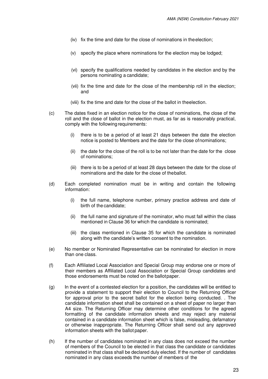- (iv) fix the time and date for the close of nominations in the election;
- (v) specify the place where nominations for the election may be lodged;
- (vi) specify the qualifications needed by candidates in the election and by the persons nominating a candidate;
- (vii) fix the time and date for the close of the membership roll in the election; and
- (viii) fix the time and date for the close of the ballot in the election.
- (c) The dates fixed in an election notice for the close of nominations, the close of the roll and the close of ballot in the election must, as far as is reasonably practical, comply with the following requirements:
	- (i) there is to be a period of at least 21 days between the date the election notice is posted to Members and the date for the close of nominations;
	- (ii) the date for the close of the roll is to be not later than the date for the close of nominations;
	- (iii) there is to be a period of at least 28 days between the date for the close of nominations and the date for the close of the ballot.
- (d) Each completed nomination must be in writing and contain the following information:
	- (i) the full name, telephone number, primary practice address and date of birth of the candidate;
	- (ii) the full name and signature of the nominator, who must fall within the class mentioned in Clause 36 for which the candidate is nominated;
	- (iii) the class mentioned in Clause 35 for which the candidate is nominated along with the candidate's written consent to the nomination.
- (e) No member or Nominated Representative can be nominated for election in more than one class.
- (f) Each Affiliated Local Association and Special Group may endorse one or more of their members as Affiliated Local Association or Special Group candidates and those endorsements must be noted on the ballot paper.
- (g) In the event of a contested election for a position, the candidates will be entitled to provide a statement to support their election to Council to the Returning Officer for approval prior to the secret ballot for the election being conducted. . The candidate information sheet shall be contained on a sheet of paper no larger than A4 size. The Returning Officer may determine other conditions for the agreed formatting of the candidate information sheets and may reject any material contained in a candidate information sheet which is false, misleading, defamatory or otherwise inappropriate. The Returning Officer shall send out any approved information sheets with the ballot paper.
- (h) If the number of candidates nominated in any class does not exceed the number of members of the Council to be elected in that class the candidate or candidates nominated in that class shall be declared duly elected. If the number of candidates nominated in any class exceeds the number of members of the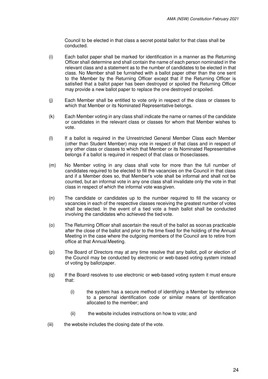Council to be elected in that class a secret postal ballot for that class shall be conducted.

- (i) Each ballot paper shall be marked for identification in a manner as the Returning Officer shall determine and shall contain the name of each person nominated in the relevant class and a statement as to the number of candidates to be elected in that class. No Member shall be furnished with a ballot paper other than the one sent to the Member by the Returning Officer except that if the Returning Officer is satisfied that a ballot paper has been destroyed or spoiled the Returning Officer may provide a new ballot paper to replace the one destroyed or spoiled.
- (j) Each Member shall be entitled to vote only in respect of the class or classes to which that Member or its Nominated Representative belongs.
- (k) Each Member voting in any class shall indicate the name or names of the candidate or candidates in the relevant class or classes for whom that Member wishes to vote.
- (l) If a ballot is required in the Unrestricted General Member Class each Member (other than Student Member) may vote in respect of that class and in respect of any other class or classes to which that Member or its Nominated Representative belongs if a ballot is required in respect of that class or those classes.
- (m) No Member voting in any class shall vote for more than the full number of candidates required to be elected to fill the vacancies on the Council in that class and if a Member does so, that Member's vote shall be informal and shall not be counted, but an informal vote in any one class shall invalidate only the vote in that class in respect of which the informal vote was given.
- (n) The candidate or candidates up to the number required to fill the vacancy or vacancies in each of the respective classes receiving the greatest number of votes shall be elected. In the event of a tied vote a fresh ballot shall be conducted involving the candidates who achieved the tied vote.
- (o) The Returning Officer shall ascertain the result of the ballot as soon as practicable after the close of the ballot and prior to the time fixed for the holding of the Annual Meeting in the case where the outgoing members of the Council are to retire from office at that Annual Meeting.
- (p) The Board of Directors may at any time resolve that any ballot, poll or election of the Council may be conducted by electronic or web-based voting system instead of voting by ballot paper.
- (q) If the Board resolves to use electronic or web-based voting system it must ensure that:
	- (i) the system has a secure method of identifying a Member by reference to a personal identification code or similar means of identification allocated to the member; and
	- (ii) the website includes instructions on how to vote; and
- (iii) the website includes the closing date of the vote.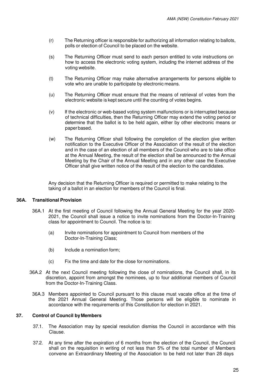- (r) The Returning officer is responsible for authorizing all information relating to ballots, polls or election of Council to be placed on the website.
- (s) The Returning Officer must send to each person entitled to vote instructions on how to access the electronic voting system, including the internet address of the voting website.
- (t) The Returning Officer may make alternative arrangements for persons eligible to vote who are unable to participate by electronic means.
- (u) The Returning Officer must ensure that the means of retrieval of votes from the electronic website is kept secure until the counting of votes begins.
- (v) If the electronic or web-based voting system malfunctions or is interrupted because of technical difficulties, then the Returning Officer may extend the voting period or determine that the ballot is to be held again, either by other electronic means or paper based.
- (w) The Returning Officer shall following the completion of the election give written notification to the Executive Officer of the Association of the result of the election and in the case of an election of all members of the Council who are to take office at the Annual Meeting, the result of the election shall be announced to the Annual Meeting by the Chair of the Annual Meeting and in any other case the Executive Officer shall give written notice of the result of the election to the candidates.

Any decision that the Returning Officer is required or permitted to make relating to the taking of a ballot in an election for members of the Council is final.

## <span id="page-24-0"></span>**36A. Transitional Provision**

- 36A.1 At the first meeting of Council following the Annual General Meeting for the year 2020- 2021, the Council shall issue a notice to invite nominations from the Doctor-In-Training class for appointment to Council. The notice is to:
	- (a) Invite nominations for appointment to Council from members of the Doctor-In-Training Class;
	- (b) Include a nomination form;
	- (c) Fix the time and date for the close for nominations.
- 36A.2 At the next Council meeting following the close of nominations, the Council shall, in its discretion, appoint from amongst the nominees, up to four additional members of Council from the Doctor-In-Training Class.
- <span id="page-24-1"></span>36A.3 Members appointed to Council pursuant to this clause must vacate office at the time of the 2021 Annual General Meeting. Those persons will be eligible to nominate in accordance with the requirements of this Constitution for election in 2021.

## **37. Control of Council by Members**

- 37.1. The Association may by special resolution dismiss the Council in accordance with this Clause.
- 37.2. At any time after the expiration of 6 months from the election of the Council, the Council shall on the requisition in writing of not less than 5% of the total number of Members convene an Extraordinary Meeting of the Association to be held not later than 28 days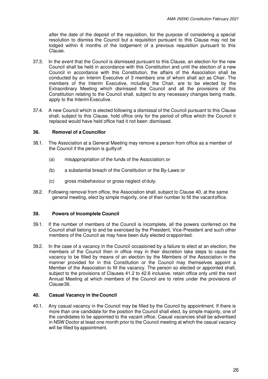after the date of the deposit of the requisition, for the purpose of considering a special resolution to dismiss the Council but a requisition pursuant to this Clause may not be lodged within 6 months of the lodgement of a previous requisition pursuant to this Clause.

- 37.3. In the event that the Council is dismissed pursuant to this Clause, an election for the new Council shall be held in accordance with this Constitution and until the election of a new Council in accordance with this Constitution, the affairs of the Association shall be conducted by an Interim Executive of 3 members one of whom shall act as Chair. The members of the Interim Executive, including the Chair, are to be elected by the Extraordinary Meeting which dismissed the Council and all the provisions of this Constitution relating to the Council shall, subject to any necessary changes being made, apply to the Interim Executive.
- <span id="page-25-0"></span>37.4. A new Council which is elected following a dismissal of the Council pursuant to this Clause shall, subject to this Clause, hold office only for the period of office which the Council it replaced would have held office had it not been dismissed.

## **38. Removal of a Councillor**

- 38.1. The Association at a General Meeting may remove a person from office as a member of the Council if the person is guilty of:
	- (a) misappropriation of the funds of the Association; or
	- (b) a substantial breach of the Constitution or the By-Laws: or
	- (c) gross misbehaviour or gross neglect of duty.
- <span id="page-25-1"></span>38.2. Following removal from office, the Association shall, subject to Clause 40, at the same general meeting, elect by simple majority, one of their number to fill the vacant office.

## **39. Powers of Incomplete Council**

- 39.1. If the number of members of the Council is incomplete, all the powers conferred on the Council shall belong to and be exercised by the President, Vice-President and such other members of the Council as may have been duly elected or appointed.
- 39.2. In the case of a vacancy in the Council occasioned by a failure to elect at an election, the members of the Council then in office may in their discretion take steps to cause the vacancy to be filled by means of an election by the Members of the Association in the manner provided for in this Constitution or the Council may themselves appoint a Member of the Association to fill the vacancy. The person so elected or appointed shall, subject to the provisions of Clauses 41.2 to 42.6 inclusive, retain office only until the next Annual Meeting at which members of the Council are to retire under the provisions of Clause 36.

## <span id="page-25-2"></span>**40. Casual Vacancy in the Council**

40.1. Any casual vacancy in the Council may be filled by the Council by appointment. If there is more than one candidate for the position the Council shall elect, by simple majority, one of the candidates to be appointed to the vacant office. Casual vacancies shall be advertised in NSW Doctor at least one month prior to the Council meeting at which the casual vacancy will be filled by appointment.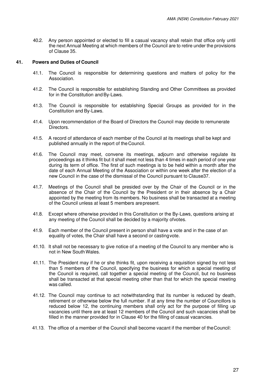<span id="page-26-0"></span>40.2. Any person appointed or elected to fill a casual vacancy shall retain that office only until the next Annual Meeting at which members of the Council are to retire under the provisions of Clause 35.

## **41. Powers and Duties of Council**

- 41.1. The Council is responsible for determining questions and matters of policy for the Association.
- 41.2. The Council is responsible for establishing Standing and Other Committees as provided for in the Constitution and By-Laws.
- 41.3. The Council is responsible for establishing Special Groups as provided for in the Constitution and By-Laws.
- 41.4. Upon recommendation of the Board of Directors the Council may decide to remunerate Directors.
- 41.5. A record of attendance of each member of the Council at its meetings shall be kept and published annually in the report of the Council.
- 41.6. The Council may meet, convene its meetings, adjourn and otherwise regulate its proceedings as it thinks fit but it shall meet not less than 4 times in each period of one year during its term of office. The first of such meetings is to be held within a month after the date of each Annual Meeting of the Association or within one week after the election of a new Council in the case of the dismissal of the Council pursuant to Clause37.
- 41.7. Meetings of the Council shall be presided over by the Chair of the Council or in the absence of the Chair of the Council by the President or in their absence by a Chair appointed by the meeting from its members. No business shall be transacted at a meeting of the Council unless at least 5 members are present.
- 41.8. Except where otherwise provided in this Constitution or the By-Laws, questions arising at any meeting of the Council shall be decided by a majority of votes.
- 41.9. Each member of the Council present in person shall have a vote and in the case of an equality of votes, the Chair shall have a second or casting vote.
- 41.10. It shall not be necessary to give notice of a meeting of the Council to any member who is not in New South Wales.
- 41.11. The President may if he or she thinks fit, upon receiving a requisition signed by not less than 5 members of the Council, specifying the business for which a special meeting of the Council is required, call together a special meeting of the Council, but no business shall be transacted at that special meeting other than that for which the special meeting was called.
- 41.12. The Council may continue to act notwithstanding that its number is reduced by death, retirement or otherwise below the full number. If at any time the number of Councillors is reduced below 12, the continuing members shall only act for the purpose of filling up vacancies until there are at least 12 members of the Council and such vacancies shall be filled in the manner provided for in Clause 40 for the filling of casual vacancies.
- 41.13. The office of a member of the Council shall become vacant if the member of the Council: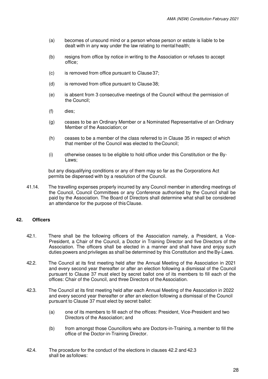- (a) becomes of unsound mind or a person whose person or estate is liable to be dealt with in any way under the law relating to mental health;
- (b) resigns from office by notice in writing to the Association or refuses to accept office;
- (c) is removed from office pursuant to Clause 37;
- (d) is removed from office pursuant to Clause 38;
- (e) is absent from 3 consecutive meetings of the Council without the permission of the Council;
- (f) dies;
- (g) ceases to be an Ordinary Member or a Nominated Representative of an Ordinary Member of the Association; or
- (h) ceases to be a member of the class referred to in Clause 35 in respect of which that member of the Council was elected to the Council;
- (i) otherwise ceases to be eligible to hold office under this Constitution or the By-Laws;

but any disqualifying conditions or any of them may so far as the Corporations Act permits be dispensed with by a resolution of the Council.

<span id="page-27-0"></span>41.14. The travelling expenses properly incurred by any Council member in attending meetings of the Council, Council Committees or any Conference authorised by the Council shall be paid by the Association. The Board of Directors shall determine what shall be considered an attendance for the purpose of this Clause.

## **42. Officers**

- 42.1. There shall be the following officers of the Association namely, a President, a Vice-President, a Chair of the Council, a Doctor in Training Director and five Directors of the Association. The officers shall be elected in a manner and shall have and enjoy such duties powers and privileges as shall be determined by this Constitution and the By-Laws.
- 42.2. The Council at its first meeting held after the Annual Meeting of the Association in 2021 and every second year thereafter or after an election following a dismissal of the Council pursuant to Clause 37 must elect by secret ballot one of its members to fill each of the offices: Chair of the Council, and three Directors of the Association.
- 42.3. The Council at its first meeting held after each Annual Meeting of the Association in 2022 and every second year thereafter or after an election following a dismissal of the Council pursuant to Clause 37 must elect by secret ballot:
	- (a) one of its members to fill each of the offices: President, Vice-President and two Directors of the Association; and
	- (b) from amongst those Councillors who are Doctors-in-Training, a member to fill the office of the Doctor-in-Training Director.
- 42.4. The procedure for the conduct of the elections in clauses 42.2 and 42.3 shall be as follows: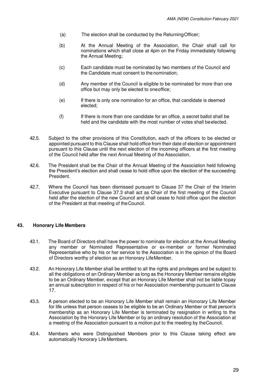- (a) The election shall be conducted by the Returning Officer;
- (b) At the Annual Meeting of the Association, the Chair shall call for nominations which shall close at 4pm on the Friday immediately following the Annual Meeting;
- (c) Each candidate must be nominated by two members of the Council and the Candidate must consent to the nomination;
- (d) Any member of the Council is eligible to be nominated for more than one office but may only be elected to one office;
- (e) If there is only one nomination for an office, that candidate is deemed elected;
- (f) If there is more than one candidate for an office, a secret ballot shall be held and the candidate with the most number of votes shall be elected.
- 42.5. Subject to the other provisions of this Constitution, each of the officers to be elected or appointed pursuant to this Clause shall hold office from their date of election or appointment pursuant to this Clause until the next election of the incoming officers at the first meeting of the Council held after the next Annual Meeting of the Association.
- 42.6. The President shall be the Chair of the Annual Meeting of the Association held following the President's election and shall cease to hold office upon the election of the succeeding President.
- <span id="page-28-0"></span>42.7. Where the Council has been dismissed pursuant to Clause 37 the Chair of the Interim Executive pursuant to Clause 37.3 shall act as Chair of the first meeting of the Council held after the election of the new Council and shall cease to hold office upon the election of the President at that meeting of the Council.

## **43. Honorary Life Members**

- 43.1. The Board of Directors shall have the power to nominate for election at the Annual Meeting any member or Nominated Representative or ex-member or former Nominated Representative who by his or her service to the Association is in the opinion of the Board of Directors worthy of election as an Honorary Life Member.
- 43.2. An Honorary Life Member shall be entitled to all the rights and privileges and be subject to all the obligations of an Ordinary Member as long as the Honorary Member remains eligible to be an Ordinary Member, except that an Honorary Life Member shall not be liable to pay an annual subscription in respect of his or her Association membership pursuant to Clause 17.
- 43.3. A person elected to be an Honorary Life Member shall remain an Honorary Life Member for life unless that person ceases to be eligible to be an Ordinary Member or that person's membership as an Honorary Life Member is terminated by resignation in writing to the Association by the Honorary Life Member or by an ordinary resolution of the Association at a meeting of the Association pursuant to a motion put to the meeting by the Council.
- 43.4. Members who were Distinguished Members prior to this Clause taking effect are automatically Honorary Life Members.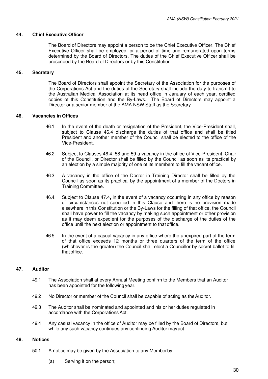## <span id="page-29-1"></span><span id="page-29-0"></span>**44. Chief Executive Officer**

The Board of Directors may appoint a person to be the Chief Executive Officer. The Chief Executive Officer shall be employed for a period of time and remunerated upon terms determined by the Board of Directors. The duties of the Chief Executive Officer shall be prescribed by the Board of Directors or by this Constitution.

## <span id="page-29-2"></span>**45. Secretary**

The Board of Directors shall appoint the Secretary of the Association for the purposes of the Corporations Act and the duties of the Secretary shall include the duty to transmit to the Australian Medical Association at its head office in January of each year, certified copies of this Constitution and the By-Laws. The Board of Directors may appoint a Director or a senior member of the AMA NSW Staff as the Secretary.

## **46. Vacancies in Offices**

- 46.1. In the event of the death or resignation of the President, the Vice-President shall, subject to Clause 46.4 discharge the duties of that office and shall be titled President and another member of the Council shall be elected to the office of the Vice-President.
- 46.2. Subject to Clauses 46.4, 58 and 59 a vacancy in the office of Vice-President, Chair of the Council, or Director shall be filled by the Council as soon as its practical by an election by a simple majority of one of its members to fill the vacant office.
- 46.3. A vacancy in the office of the Doctor in Training Director shall be filled by the Council as soon as its practical by the appointment of a member of the Doctors in Training Committee.
- 46.4. Subject to Clause 47.4**,** in the event of a vacancy occurring in any office by reason of circumstances not specified in this Clause and there is no provision made elsewhere in this Constitution or the By-Laws for the filling of that office, the Council shall have power to fill the vacancy by making such appointment or other provision as it may deem expedient for the purposes of the discharge of the duties of the office until the next election or appointment to that office.
- 46.5. In the event of a casual vacancy in any office where the unexpired part of the term of that office exceeds 12 months or three quarters of the term of the office (whichever is the greater) the Council shall elect a Councillor by secret ballot to fill that office.

## <span id="page-29-3"></span>**47. Auditor**

- 49.1 The Association shall at every Annual Meeting confirm to the Members that an Auditor has been appointed for the following year.
- 49.2 No Director or member of the Council shall be capable of acting as the Auditor.
- 49.3 The Auditor shall be nominated and appointed and his or her duties regulated in accordance with the Corporations Act.
- <span id="page-29-4"></span>49.4 Any casual vacancy in the office of Auditor may be filled by the Board of Directors, but while any such vacancy continues any continuing Auditor may act.

## **48. Notices**

- 50.1 A notice may be given by the Association to any Member by:
	- (a) Serving it on the person;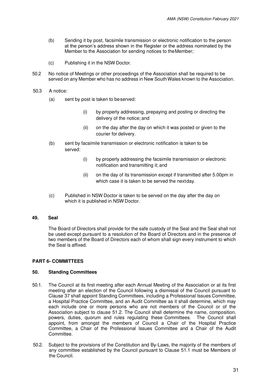- (b) Sending it by post, facsimile transmission or electronic notification to the person at the person's address shown in the Register or the address nominated by the Member to the Association for sending notices to the Member;
- (c) Publishing it in the NSW Doctor.
- 50.2 No notice of Meetings or other proceedings of the Association shall be required to be served on any Member who has no address in New South Wales known to the Association.
- 50.3 A notice:
	- (a) sent by post is taken to be served:
		- (i) by properly addressing, prepaying and posting or directing the delivery of the notice; and
		- (ii) on the day after the day on which it was posted or given to the courier for delivery.
	- (b) sent by facsimile transmission or electronic notification is taken to be served:
		- (i) by properly addressing the facsimile transmission or electronic notification and transmitting it; and
		- (ii) on the day of its transmission except if transmitted after 5.00pm in which case it is taken to be served the nextday.
	- (c) Published in NSW Doctor is taken to be served on the day after the day on which it is published in NSW Doctor.

## <span id="page-30-1"></span><span id="page-30-0"></span>**49. Seal**

The Board of Directors shall provide for the safe custody of the Seal and the Seal shall not be used except pursuant to a resolution of the Board of Directors and in the presence of two members of the Board of Directors each of whom shall sign every instrument to which the Seal is affixed.

## <span id="page-30-2"></span>**PART 6- COMMITTEES**

## **50. Standing Committees**

- 50.1. The Council at its first meeting after each Annual Meeting of the Association or at its first meeting after an election of the Council following a dismissal of the Council pursuant to Clause 37 shall appoint Standing Committees, including a Professional Issues Committee, a Hospital Practice Committee, and an Audit Committee as it shall determine, which may each include one or more persons who are not members of the Council or of the Association subject to clause 51.2. The Council shall determine the name, composition, powers, duties, quorum and rules regulating these Committees. The Council shall appoint, from amongst the members of Council a Chair of the Hospital Practice Committee, a Chair of the Professional Issues Committee and a Chair of the Audit **Committee**
- 50.2. Subject to the provisions of the Constitution and By-Laws, the majority of the members of any committee established by the Council pursuant to Clause 51.1 must be Members of the Council.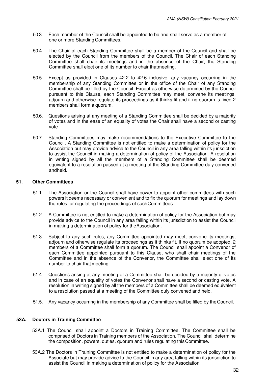- 50.3. Each member of the Council shall be appointed to be and shall serve as a member of one or more Standing Committees.
- 50.4. The Chair of each Standing Committee shall be a member of the Council and shall be elected by the Council from the members of the Council. The Chair of each Standing Committee shall chair its meetings and in the absence of the Chair, the Standing Committee shall elect one of its number to chair that meeting.
- 50.5. Except as provided in Clauses 42.2 to 42.6 inclusive, any vacancy occurring in the membership of any Standing Committee or in the office of the Chair of any Standing Committee shall be filled by the Council. Except as otherwise determined by the Council pursuant to this Clause, each Standing Committee may meet, convene its meetings, adjourn and otherwise regulate its proceedings as it thinks fit and if no quorum is fixed 2 members shall form a quorum.
- 50.6. Questions arising at any meeting of a Standing Committee shall be decided by a majority of votes and in the ease of an equality of votes the Chair shall have a second or casting vote.
- 50.7. Standing Committees may make recommendations to the Executive Committee to the Council. A Standing Committee is not entitled to make a determination of policy for the Association but may provide advice to the Council in any area falling within its jurisdiction to assist the Council in making a determination of policy of the Association. A resolution in writing signed by all the members of a Standing Committee shall be deemed equivalent to a resolution passed at a meeting of the Standing Committee duly convened and held.

## <span id="page-31-0"></span>**51. Other Committees**

- 51.1. The Association or the Council shall have power to appoint other committees with such powers it deems necessary or convenient and to fix the quorum for meetings and lay down the rules for regulating the proceedings of such Committees.
- 51.2. A Committee is not entitled to make a determination of policy for the Association but may provide advice to the Council in any area falling within its jurisdiction to assist the Council in making a determination of policy for the Association.
- 51.3. Subject to any such rules, any Committee appointed may meet, convene its meetings, adjourn and otherwise regulate its proceedings as it thinks fit. If no quorum be adopted, 2 members of a Committee shall form a quorum. The Council shall appoint a Convenor of each Committee appointed pursuant to this Clause, who shall chair meetings of the Committee and in the absence of the Convenor, the Committee shall elect one of its number to chair that meeting.
- 51.4. Questions arising at any meeting of a Committee shall be decided by a majority of votes and in case of an equality of votes the Convenor shall have a second or casting vote. A resolution in writing signed by all the members of a Committee shall be deemed equivalent to a resolution passed at a meeting of the Committee duly convened and held.
- <span id="page-31-1"></span>51.5. Any vacancy occurring in the membership of any Committee shall be filled by the Council.

## **53A. Doctors in Training Committee**

- 53A.1 The Council shall appoint a Doctors in Training Committee. The Committee shall be comprised of Doctors in Training members of the Association. The Council shall determine the composition, powers, duties, quorum and rules regulating this Committee.
- 53A.2 The Doctors in Training Committee is not entitled to make a determination of policy for the Associate but may provide advice to the Council in any area falling within its jurisdiction to assist the Council in making a determination of policy for the Association.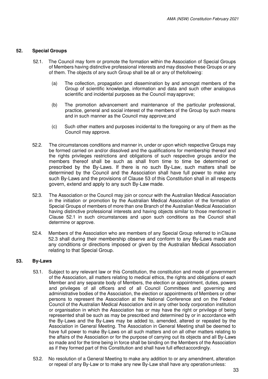#### <span id="page-32-0"></span>**52. Special Groups**

- 52.1. The Council may form or promote the formation within the Association of Special Groups of Members having distinctive professional interests and may dissolve these Groups or any of them. The objects of any such Group shall be all or any of the following:
	- (a) The collection, propagation and dissemination by and amongst members of the Group of scientific knowledge, information and data and such other analogous scientific and incidental purposes as the Council may approve;
	- (b) The promotion advancement and maintenance of the particular professional, practice, general and social interest of the members of the Group by such means and in such manner as the Council may approve; and
	- (c) Such other matters and purposes incidental to the foregoing or any of them as the Council may approve.
- 52.2. The circumstances conditions and manner in, under or upon which respective Groups may be formed carried on and/or dissolved and the qualifications for membership thereof and the rights privileges restrictions and obligations of such respective groups and/or the members thereof shall be such as shall from time to time be determined or prescribed by the By-Laws. If there is no such By-Law, such matters shall be determined by the Council and the Association shall have full power to make any such By-Laws and the provisions of Clause 53 of this Constitution shall in all respects govern, extend and apply to any such By-Law made.
- 52.3. The Association or the Council may join or concur with the Australian Medical Association in the initiation or promotion by the Australian Medical Association of the formation of Special Groups of members of more than one Branch of the Australian Medical Association having distinctive professional interests and having objects similar to those mentioned in Clause 52.1 in such circumstances and upon such conditions as the Council shall determine or approve.
- <span id="page-32-1"></span>52.4. Members of the Association who are members of any Special Group referred to in Clause 52.3 shall during their membership observe and conform to any By-Laws made and any conditions or directions imposed or given by the Australian Medical Association relating to that Special Group.

## **53. By-Laws**

- 53.1. Subject to any relevant law or this Constitution, the constitution and mode of government of the Association, all matters relating to medical ethics, the rights and obligations of each Member and any separate body of Members, the election or appointment, duties, powers and privileges of all officers and of all Council Committees and governing and administrative bodies of the Association, the election or appointments of Members or other persons to represent the Association at the National Conference and on the Federal Council of the Australian Medical Association and in any other body corporation institution or organisation in which the Association has or may have the right or privilege of being represented shall be such as may be prescribed and determined by or in accordance with the By-Laws and the By-Laws may be added to, amended, altered or repealed by the Association in General Meeting. The Association in General Meeting shall be deemed to have full power to make By-Laws on all such matters and on all other matters relating to the affairs of the Association or for the purpose of carrying out its objects and all By-Laws so made and for the time being in force shall be binding on the Members of the Association as if they formed part of this Constitution and shall have full effect accordingly.
- 53.2. No resolution of a General Meeting to make any addition to or any amendment, alteration or repeal of any By-Law or to make any new By-Law shall have any operation unless: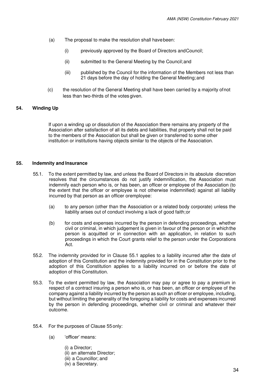- (a) The proposal to make the resolution shall have been:
	- (i) previously approved by the Board of Directors and Council;
	- (ii) submitted to the General Meeting by the Council; and
	- (iii) published by the Council for the information of the Members not less than 21 days before the day of holding the General Meeting; and
- (c) the resolution of the General Meeting shall have been carried by a majority of not less than two-thirds of the votes given.

## <span id="page-33-1"></span><span id="page-33-0"></span>**54. Winding Up**

If upon a winding up or dissolution of the Association there remains any property of the Association after satisfaction of all its debts and liabilities, that property shall not be paid to the members of the Association but shall be given or transferred to some other institution or institutions having objects similar to the objects of the Association.

## **55. Indemnity and Insurance**

- 55.1. To the extent permitted by law, and unless the Board of Directors in its absolute discretion resolves that the circumstances do not justify indemnification, the Association must indemnify each person who is, or has been, an officer or employee of the Association (to the extent that the officer or employee is not otherwise indemnified) against all liability incurred by that person as an officer or employee:
	- (a) to any person (other than the Association or a related body corporate) unless the liability arises out of conduct involving a lack of good faith; or
	- (b) for costs and expenses incurred by the person in defending proceedings, whether civil or criminal, in which judgement is given in favour of the person or in which the person is acquitted or in connection with an application, in relation to such proceedings in which the Court grants relief to the person under the Corporations Act.
- 55.2. The indemnity provided for in Clause 55.1 applies to a liability incurred after the date of adoption of this Constitution and the indemnity provided for in the Constitution prior to the adoption of this Constitution applies to a liability incurred on or before the date of adoption of this Constitution.
- 55.3. To the extent permitted by law, the Association may pay or agree to pay a premium in respect of a contract insuring a person who is, or has been, an officer or employee of the company against a liability incurred by the person as such an officer or employee, including, but without limiting the generality of the foregoing a liability for costs and expenses incurred by the person in defending proceedings, whether civil or criminal and whatever their outcome.
- 55.4. For the purposes of Clause 55 only:
	- (a) 'officer' means:
		- (i) a Director;
		- (ii) an alternate Director;
		- (iii) a Councillor; and
		- (iv) a Secretary.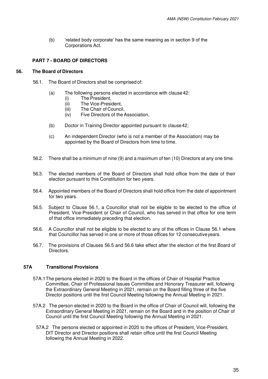(b) 'related body corporate' has the same meaning as in section 9 of the Corporations Act.

## <span id="page-34-1"></span><span id="page-34-0"></span>**PART 7 - BOARD OF DIRECTORS**

#### **56. The Board of Directors**

- 56.1. The Board of Directors shall be comprised of:
	- (a) The following persons elected in accordance with clause 42:
		- (i) The President,
		- (ii) The Vice-President,
		- (iii) The Chair of Council,
		- (iv) Five Directors of the Association,
	- (b) Doctor in Training Director appointed pursuant to clause 42;
	- (c) An independent Director (who is not a member of the Association) may be appointed by the Board of Directors from time to time.
- 56.2. There shall be a minimum of nine (9) and a maximum of ten (10) Directors at any one time.
- 56.3. The elected members of the Board of Directors shall hold office from the date of their election pursuant to this Constitution for two years.
- 56.4. Appointed members of the Board of Directors shall hold office from the date of appointment for two years.
- 56.5. Subject to Clause 56.1, a Councillor shall not be eligible to be elected to the office of President, Vice-President or Chair of Council, who has served in that office for one term of that office immediately preceding that election.
- 56.6. A Councillor shall not be eligible to be elected to any of the offices in Clause 56.1 where that Councillor has served in one or more of those offices for 12 consecutive years.
- 56.7. The provisions of Clauses 56.5 and 56.6 take effect after the election of the first Board of **Directors**

## **57A Transitional Provisions**

- 57A.1 The persons elected in 2020 to the Board in the offices of Chair of Hospital Practice Committee, Chair of Professional Issues Committee and Honorary Treasurer will, following the Extraordinary General Meeting in 2021, remain on the Board filling three of the five Director positions until the first Council Meeting following the Annual Meeting in 2021.
- 57A.2 The person elected in 2020 to the Board in the office of Chair of Council will, following the Extraordinary General Meeting in 2021, remain on the Board and in the position of Chair of Council until the first Council Meeting following the Annual Meeting in 2021.
	- 57A.2 The persons elected or appointed in 2020 to the offices of President, Vice-President, DIT Director and Director positions shall retain office until the first Council Meeting following the Annual Meeting in 2022.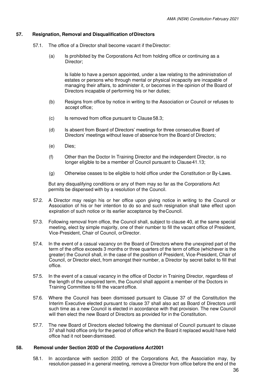## <span id="page-35-0"></span>**57. Resignation, Removal and Disqualification of Directors**

- 57.1. The office of a Director shall become vacant if the Director:
	- (a) Is prohibited by the Corporations Act from holding office or continuing as a Director;

Is liable to have a person appointed, under a law relating to the administration of estates or persons who through mental or physical incapacity are incapable of managing their affairs, to administer it, or becomes in the opinion of the Board of Directors incapable of performing his or her duties;

- (b) Resigns from office by notice in writing to the Association or Council or refuses to accept office;
- (c) Is removed from office pursuant to Clause 58.3;
- (d) Is absent from Board of Directors' meetings for three consecutive Board of Directors' meetings without leave of absence from the Board of Directors;
- (e) Dies;
- (f) Other than the Doctor In Training Director and the independent Director, is no longer eligible to be a member of Council pursuant to Clause 41.13;
- (g) Otherwise ceases to be eligible to hold office under the Constitution or By-Laws.

But any disqualifying conditions or any of them may so far as the Corporations Act permits be dispensed with by a resolution of the Council.

- 57.2. A Director may resign his or her office upon giving notice in writing to the Council or Association of his or her intention to do so and such resignation shall take effect upon expiration of such notice or its earlier acceptance by the Council.
- 57.3. Following removal from office, the Council shall, subject to clause 40, at the same special meeting, elect by simple majority, one of their number to fill the vacant office of President, Vice-President, Chair of Council, or Director.
- 57.4. In the event of a casual vacancy on the Board of Directors where the unexpired part of the term of the office exceeds 3 months or three quarters of the term of office (whichever is the greater) the Council shall, in the case of the position of President, Vice-President, Chair of Council, or Director elect, from amongst their number, a Director by secret ballot to fill that office.
- 57.5. In the event of a casual vacancy in the office of Doctor in Training Director, regardless of the length of the unexpired term, the Council shall appoint a member of the Doctors in Training Committee to fill the vacant office.
- 57.6. Where the Council has been dismissed pursuant to Clause 37 of the Constitution the Interim Executive elected pursuant to clause 37 shall also act as Board of Directors until such time as a new Council is elected in accordance with that provision. The new Council will then elect the new Board of Directors as provided for in the Constitution.
- 57.7. The new Board of Directors elected following the dismissal of Council pursuant to clause 37 shall hold office only for the period of office which the Board it replaced would have held office had it not been dismissed.

## **58. Removal under Section 203D of the Corporations Act 2001**

58.1. In accordance with section 203D of the Corporations Act, the Association may, by resolution passed in a general meeting, remove a Director from office before the end of the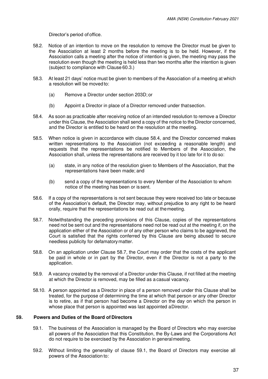Director's period of office.

- 58.2. Notice of an intention to move on the resolution to remove the Director must be given to the Association at least 2 months before the meeting is to be held. However, if the Association calls a meeting after the notice of intention is given, the meeting may pass the resolution even though the meeting is held less than two months after the intention is given (subject to compliance with Clause 60.3.)
- 58.3. At least 21 days' notice must be given to members of the Association of a meeting at which a resolution will be moved to:
	- (a) Remove a Director under section 203D; or
	- (b) Appoint a Director in place of a Director removed under that section.
- 58.4. As soon as practicable after receiving notice of an intended resolution to remove a Director under this Clause, the Association shall send a copy of the notice to the Director concerned, and the Director is entitled to be heard on the resolution at the meeting.
- 58.5. When notice is given in accordance with clause 58.4, and the Director concerned makes written representations to the Association (not exceeding a reasonable length) and requests that the representations be notified to Members of the Association, the Association shall, unless the representations are received by it too late for it to do so:
	- (a) state, in any notice of the resolution given to Members of the Association, that the representations have been made; and
	- (b) send a copy of the representations to every Member of the Association to whom notice of the meeting has been or is sent.
- 58.6. If a copy of the representations is not sent because they were received too late or because of the Association's default, the Director may, without prejudice to any right to be heard orally, require that the representations be read out at the meeting.
- <span id="page-36-1"></span>58.7. Notwithstanding the preceding provisions of this Clause, copies of the representations need not be sent out and the representations need not be read out at the meeting if, on the application either of the Association or of any other person who claims to be aggrieved, the Court is satisfied that the rights conferred by this Clause are being abused to secure needless publicity for defamatory matter.
- 58.8. On an application under Clause [58.7,](#page-36-1) the Court may order that the costs of the applicant be paid in whole or in part by the Director, even if the Director is not a party to the application.
- 58.9. A vacancy created by the removal of a Director under this Clause, if not filled at the meeting at which the Director is removed, may be filled as a casual vacancy.
- <span id="page-36-0"></span>58.10. A person appointed as a Director in place of a person removed under this Clause shall be treated, for the purpose of determining the time at which that person or any other Director is to retire, as if that person had become a Director on the day on which the person in whose place that person is appointed was last appointed a Director.

## **59. Powers and Duties of the Board of Directors**

- 59.1. The business of the Association is managed by the Board of Directors who may exercise all powers of the Association that this Constitution, the By-Laws and the Corporations Act do not require to be exercised by the Association in general meeting.
- 59.2. Without limiting the generality of clause 59.1, the Board of Directors may exercise all powers of the Association to: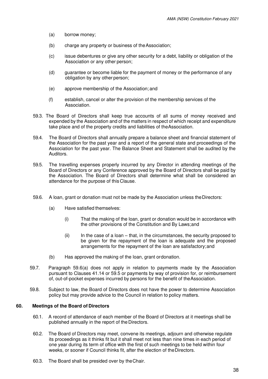- (a) borrow money;
- (b) charge any property or business of the Association;
- (c) issue debentures or give any other security for a debt, liability or obligation of the Association or any other person;
- (d) guarantee or become liable for the payment of money or the performance of any obligation by any other person;
- (e) approve membership of the Association; and
- (f) establish, cancel or alter the provision of the membership services of the Association.
- 59.3. The Board of Directors shall keep true accounts of all sums of money received and expended by the Association and of the matters in respect of which receipt and expenditure take place and of the property credits and liabilities of the Association.
- 59.4. The Board of Directors shall annually prepare a balance sheet and financial statement of the Association for the past year and a report of the general state and proceedings of the Association for the past year. The Balance Sheet and Statement shall be audited by the Auditors.
- 59.5. The travelling expenses properly incurred by any Director in attending meetings of the Board of Directors or any Conference approved by the Board of Directors shall be paid by the Association. The Board of Directors shall determine what shall be considered an attendance for the purpose of this Clause.
- 59.6. A loan, grant or donation must not be made by the Association unless the Directors:
	- (a) Have satisfied themselves:
		- (i) That the making of the loan, grant or donation would be in accordance with the other provisions of the Constitution and By Laws; and
		- (ii) In the case of a loan that, in the circumstances, the security proposed to be given for the repayment of the loan is adequate and the proposed arrangements for the repayment of the loan are satisfactory; and
	- (b) Has approved the making of the loan, grant or donation.
- 59.7. Paragraph 59.6(a) does not apply in relation to payments made by the Association pursuant to Clauses 41.14 or 59.5 or payments by way of provision for, or reimbursement of, out-of-pocket expenses incurred by persons for the benefit of the Association.
- <span id="page-37-0"></span>59.8. Subject to law, the Board of Directors does not have the power to determine Association policy but may provide advice to the Council in relation to policy matters.

## **60. Meetings of the Board of Directors**

- 60.1. A record of attendance of each member of the Board of Directors at it meetings shall be published annually in the report of the Directors.
- 60.2. The Board of Directors may meet, convene its meetings, adjourn and otherwise regulate its proceedings as it thinks fit but it shall meet not less than nine times in each period of one year during its term of office with the first of such meetings to be held within four weeks, or sooner if Council thinks fit, after the election of the Directors.
- 60.3. The Board shall be presided over by the Chair.